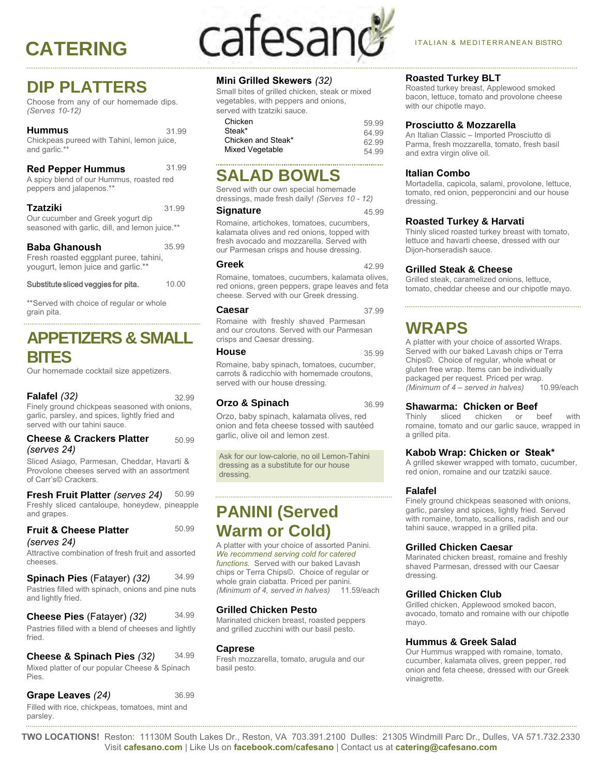## **DIP PLATTERS**

Choose from any of our homemade dips. *(Serves 10-12)*

#### **Hummus**  Chickpeas pureed with Tahini, lemon juice, and garlic.\* **Red Pepper Hummus**  A spicy blend of our Hummus, roasted red peppers and jalapenos.\*\* 31.99 31.99

**Tzatziki**  Our cucumber and Greek yogurt dip seasoned with garlic, dill, and lemon juice.\*\* 31.99

| <b>Baba Ghanoush</b>                  | 35.99 |
|---------------------------------------|-------|
| Fresh roasted eggplant puree, tahini, |       |
| yougurt, lemon juice and garlic.**    |       |

| Substitute sliced veggies for pita. | 10.00 |
|-------------------------------------|-------|
|-------------------------------------|-------|

\*\*Served with choice of regular or whole grain pita.

## **APPETIZERS & SMALL BITES**

Our homemade cocktail size appetizers.

#### **Falafel** (32) 32.99

Finely ground chickpeas seasoned with onions, garlic, parsley, and spices, lightly fried and served with our tahini sauce.

#### **Cheese & Crackers Platter** *(serves 24)* 50.99

Sliced Asiago, Parmesan, Cheddar, Havarti & Provolone cheeses served with an assortment of Carr's© Crackers.

**Fresh Fruit Platter** *(serves 24)* 50.99 Freshly sliced cantaloupe, honeydew, pineapple and grapes.

50.99

|             | <b>Fruit &amp; Cheese Platter</b> |  |
|-------------|-----------------------------------|--|
| (serves 24) |                                   |  |

Attractive combination of fresh fruit and assorted cheeses.

|  | Spinach Pies (Fatayer) (32) | 34.99 |
|--|-----------------------------|-------|
|--|-----------------------------|-------|

Pastries filled with spinach, onions and pine nuts and lightly fried.

34.99 **Cheese Pies** (Fatayer) *(32)* Pastries filled with a blend of cheeses and lightly fried.

34.99 Mixed platter of our popular Cheese & Spinach Pies. **Cheese & Spinach Pies** *(32)*

**Grape Leaves** *(24)* Filled with rice, chickpeas, tomatoes, mint and parsley. 36.99

# CATERING CateSanC<sup>or Italian & MEDITERRANEAN BISTRO</sup>

#### **Mini Grilled Skewers** *(32)*

Small bites of grilled chicken, steak or mixed vegetables, with peppers and onions, served with tzatziki sauce.

| Chicken            | 59 99 |
|--------------------|-------|
| Steak*             | 64 99 |
| Chicken and Steak* | 62.99 |
| Mixed Vegetable    | 54 99 |

#### **SALAD BOWLS**

Served with our own special homemade dressings, made fresh daily! *(Serves 10 - 12)*

#### **Signature** 45.99

Romaine, artichokes, tomatoes, cucumbers, kalamata olives and red onions, topped with fresh avocado and mozzarella. Served with our Parmesan crisps and house dressing.

#### **Greek** 42.99

Romaine, tomatoes, cucumbers, kalamata olives, red onions, green peppers, grape leaves and feta cheese. Served with our Greek dressing.

#### **Caesar** 37.99

Romaine with freshly shaved Parmesan and our croutons. Served with our Parmesan crisps and Caesar dressing.

**House** 35.99 Romaine, baby spinach, tomatoes, cucumber, carrots & radicchio with homemade croutons, served with our house dressing.

#### **Orzo & Spinach** 36.99

Orzo, baby spinach, kalamata olives, red onion and feta cheese tossed with sautéed garlic, olive oil and lemon zest.

Ask for our low-calorie, no oil Lemon-Tahini dressing as a substitute for our house dressing.

## **PANINI (Served Warm or Cold)**

A platter with your choice of assorted Panini. *We recommend serving cold for catered functions.* Served with our baked Lavash chips or Terra Chips©. Choice of regular or whole grain ciabatta. Priced per panini. *(Minimum of 4, served in halves)* 11.59/each

#### **Grilled Chicken Pesto**

Marinated chicken breast, roasted peppers and grilled zucchini with our basil pesto.

#### **Caprese**

Fresh mozzarella, tomato, arugula and our basil pesto.

#### 

**Roasted Turkey BLT** Roasted turkey breast, Applewood smoked bacon, lettuce, tomato and provolone cheese with our chipotle mayo.

#### **Prosciutto & Mozzarella**

An Italian Classic – Imported Prosciutto di Parma, fresh mozzarella, tomato, fresh basil and extra virgin olive oil.

#### **Italian Combo**

Mortadella, capicola, salami, provolone, lettuce, tomato, red onion, pepperoncini and our house dressing.

#### **Roasted Turkey & Harvati**

Thinly sliced roasted turkey breast with tomato, lettuce and havarti cheese, dressed with our Dijon-horseradish sauce.

#### **Grilled Steak & Cheese**

Grilled steak, caramelized onions, lettuce, tomato, cheddar cheese and our chipotle mayo.

## **WRAPS**

A platter with your choice of assorted Wraps. Served with our baked Lavash chips or Terra Chips©. Choice of regular, whole wheat or gluten free wrap. Items can be individually packaged per request. Priced per wrap.<br>(Minimum of 4 – served in halves) 10.99/each *(Minimum of 4 – served in halves)* 

## **Shawarma: Chicken or Beef**<br>Thinly sliced chicken or beef

chicken or beef with romaine, tomato and our garlic sauce, wrapped in a grilled pita.

#### **Kabob Wrap: Chicken or Steak\***

A grilled skewer wrapped with tomato, cucumber, red onion, romaine and our tzatziki sauce.

#### **Falafel**

Finely ground chickpeas seasoned with onions, garlic, parsley and spices, lightly fried. Served with romaine, tomato, scallions, radish and our tahini sauce, wrapped in a grilled pita.

#### **Grilled Chicken Caesar**

Marinated chicken breast, romaine and freshly shaved Parmesan, dressed with our Caesar dressing.

#### **Grilled Chicken Club**

Grilled chicken, Applewood smoked bacon, avocado, tomato and romaine with our chipotle mayo.

#### **Hummus & Greek Salad**

Our Hummus wrapped with romaine, tomato, cucumber, kalamata olives, green pepper, red onion and feta cheese, dressed with our Greek vinaigrette.